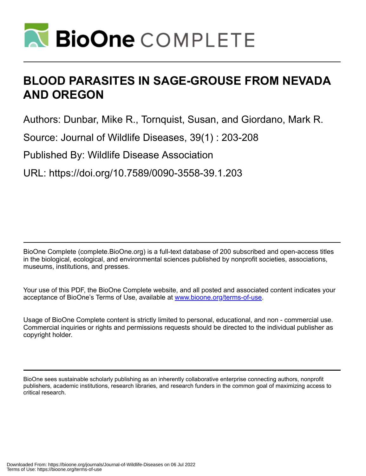

# **BLOOD PARASITES IN SAGE-GROUSE FROM NEVADA AND OREGON**

Authors: Dunbar, Mike R., Tornquist, Susan, and Giordano, Mark R.

Source: Journal of Wildlife Diseases, 39(1) : 203-208

Published By: Wildlife Disease Association

URL: https://doi.org/10.7589/0090-3558-39.1.203

BioOne Complete (complete.BioOne.org) is a full-text database of 200 subscribed and open-access titles in the biological, ecological, and environmental sciences published by nonprofit societies, associations, museums, institutions, and presses.

Your use of this PDF, the BioOne Complete website, and all posted and associated content indicates your acceptance of BioOne's Terms of Use, available at www.bioone.org/terms-of-use.

Usage of BioOne Complete content is strictly limited to personal, educational, and non - commercial use. Commercial inquiries or rights and permissions requests should be directed to the individual publisher as copyright holder.

BioOne sees sustainable scholarly publishing as an inherently collaborative enterprise connecting authors, nonprofit publishers, academic institutions, research libraries, and research funders in the common goal of maximizing access to critical research.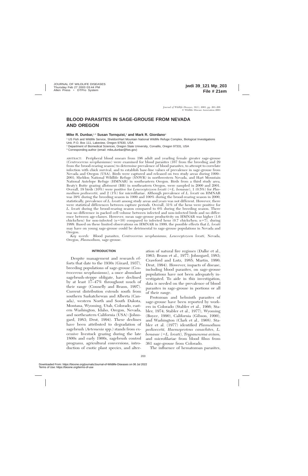# **BLOOD PARASITES IN SAGE-GROUSE FROM NEVADA AND OREGON**

## **Mike R. Dunbar,**1,3 **Susan Tornquist,**<sup>2</sup> **and Mark R. Giordano**<sup>1</sup>

<sup>1</sup> US Fish and Wildlife Service, Sheldon/Hart Mountain National Wildlife Refuge Complex, Biological Investigations Unit, P.O. Box 111, Lakeview, Oregon 97630, USA

<sup>2</sup> Department of Biomedical Sciences, Oregon State University, Corvallis, Oregon 97331, USA

<sup>3</sup> Corresponding author (email: mike\_dunbar@fws.gov)

ABSTRACT: Peripheral blood smears from 196 adult and yearling female greater sage-grouse (*Centrocercus urophasianus*) were examined for blood parasites (167 from the breeding and 29 from the brood-rearing season) to determine prevalence of blood parasites, to attempt to correlate infection with chick survival, and to establish base-line values of prevalence in sage-grouse from Nevada and Oregon (USA). Birds were captured and released on two study areas during 1999– 2001; Sheldon National Wildlife Refuge (SNWR) in northwestern Nevada, and Hart Mountain National Antelope Refuge (HMNAR) in southeastern Oregon. Birds from a third study area, Beaty's Butte grazing allotment (BB) in southeastern Oregon, were sampled in 2000 and 2001. Overall, 19 birds (10%) were positive for *Leucocytozoon lovati* (=*L. bonasae*), 1 (0.5%) for *Plasmodium pedioecetii,* and 2 (1%) for microfilariae. Although prevalence of *L. lovati* on HMNAR was 39% during the breeding season in 1999 and 100% during the brood-rearing season in 2000, statistically, prevalence of *L. lovati* among study areas and years was not different. However, there were statistical differences between capture periods. Overall, 31% of the hens were positive for *L. lovati* during the brood-rearing season compared to 6% during the breeding season. There was no difference in packed cell volume between infected and non-infected birds and no difference between age-classes. However, mean sage-grouse productivity on HMNAR was higher (1.6 chicks/hen) for non-infected  $(n=10)$  compared to infected hens  $(0.7 \text{ chicks/hen}; n=7)$ , during 1999. Based on these limited observations on HMNAR in 1999, the possible effects that *L. lovati* may have on young sage-grouse could be detrimental to sage-grouse populations in Nevada and Oregon.

*Key words:* Blood parasites, *Centrocercus urophasianus, Leucocytozoon lovati,* Nevada, Oregon, *Plasmodium,* sage-grouse.

#### **INTRODUCTION**

Despite management and research efforts that date to the 1930s (Girard, 1937), breeding populations of sage-grouse (*Centrocercus urophasianus*), a once abundant sagebrush-steppe obligate, have declined by at least 17–47% throughout much of their range (Connelly and Braun, 1997). Current distribution extends south from southern Saskatchewan and Alberta (Canada), western North and South Dakota, Montana, Wyoming, Utah, Colorado, eastern Washington, Idaho, Oregon, Nevada, and northeastern California (USA) (Johnsgard, 1983; Drut, 1994). These declines have been attributed to degradation of sagebrush (*Artemesia* spp.) stands from excessive livestock grazing during the late 1800s and early 1900s, sagebrush control programs, agricultural conversions, introduction of exotic plant species, and alteration of natural fire regimes (Dalke et al., 1963; Braun et al., 1977; Johnsgard, 1983; Crawford and Lutz, 1985; Martin, 1990; Drut, 1994). However, impacts of disease, including blood parasites, on sage-grouse populations have not been adequately investigated. To aide in this investigation, data is needed on the prevalence of blood parasites in sage-grouse in portions or all of their range.

Protozoan and helminth parasites of sage-grouse have been reported by workers in Colorado (Stabler et al., 1966; Stabler, 1974; Stabler et al., 1977), Wyoming (Boyce, 1990), California (Gibson, 1990), and Washington (Clark et al., 1968). Stabler et al. (1977) identified *Plasmodium pedioecetii, Haemoproteus canachites, L. bonasae* (5*L. lovati*), *Trypanosoma avium,* and microfilariae from blood films from 361 sage-grouse from Colorado.

The influence of hematozoan parasites,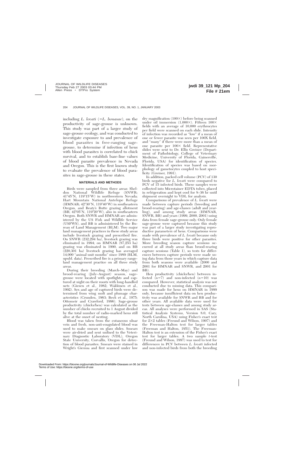including *L. lovati* (=*L. bonasae*), on the productivity of sage-grouse is unknown. This study was part of a larger study of sage-grouse ecology, and was conducted to investigate exposure to and prevalence of blood parasites in free-ranging sagegrouse, to determine if infection of hens with blood parasites is correlated to chick survival, and to establish base-line values of blood parasite prevalence in Nevada and Oregon. This is the first known study to evaluate the prevalence of blood parasites in sage-grouse in these states.

### **MATERIALS AND METHODS**

Birds were sampled from three areas: Sheldon National Wildlife Refuge (SNWR;  $41^{\circ}45'$ N,  $119^{\circ}15'$ W) in northwestern Nevada; Hart Mountain National Antelope Refuge  $(HMNAR; 42°30'N, 119°40'W)$  in southeastern Oregon, and Beaty's Butte grazing allotment  $(BB; 42^{\circ}05'N, 119^{\circ}20'W)$ , also in southeastern Oregon. Both SNWR and HMNAR are administered by the US Fish and Wildlife Service (USFWS), and BB is administered by the Bureau of Land Management (BLM). Two major land management practices in these study areas include livestock grazing and prescribed fire. On SNWR (232,294 ha), livestock grazing was eliminated in 1994; on HMNAR  $(87,25\overline{3}$  ha) grazing was eliminated in 1990, and on BB (220,301 ha) livestock grazing has averaged 14,000 ''animal unit months'' since 1989 (BLM, upubl. data). Prescribed fire is a primary rangeland management practice on all three study areas.

During their breeding (March–May) and brood-rearing (July–August) season, sagegrouse were located with spotlights and captured at night on their roosts with long-handled nets (Giesen et al., 1982; Wakkinen et al., 1992). Sex and age of captured birds were determined from wing molt and plumage characteristics (Crunden, 1963; Beck et al., 1975; Ottomeir and Crawford, 1996). Sage-grouse productivity (chicks/hen) was calculated as the number of chicks recruited to 1 August divided by the total number of radio-marked hens still alive at the onset of nesting.

Blood was taken from the cutaneous ulnar vein and fresh, non-anti-coagulated blood was used to make smears on glass slides. Smears were air-dried and sent unfixed to the Veterinary Diagnostic Laboratory (VDL), Oregon State University, Corvallis, Oregon for detection of blood parasites. Smears were stained in Wright's Giemsa and first scanned under low

dry magnification  $(100\times)$  before being scanned under oil immersion  $(1,000\times)$ . Fifteen  $100\times$ fields with an average of 10,000 erythrocytes per field were scanned on each slide. Intensity of infection was recorded as ''low'' if a mean of one or fewer parasite was seen per 100X field, and ''many'' if there were more than a mean of one parasite per  $100 \times$  field. Representative slides were sent to Dr. Ellis Greiner (Department of Pathobiology, College of Veterinary Medicine, University of Florida, Gainesville, Florida, USA) for identification of species. Identification of species was based on morphology of gametocytes coupled to host specificity (Greiner, 1991).

In addition, packed cell volume (PCV) of 130 birds negative for *L. lovati* were compared to PCV of 15 infected birds. These samples were collected into Microtainer EDTA tubes, placed in refrigeration and kept cool for 8–36 hr until shipment overnight to VDL for analysis.

Comparisons of prevalence of *L. lovati* were made between capture periods (breeding and brood-rearing) and age-classes (adult and yearling), and among study areas (HMNAR, SNWR, BB) and years (1999, 2000, 2001) using data from female sage-grouse only. Only female sage-grouse were captured because this study was part of a larger study investigating reproductive parameters of hens. Comparisons were made with prevalence of *L. lovati* because only three birds were positive for other parasites. More breeding season capture sessions occurred at all study areas than brood-rearing capture sessions (Table 1), so tests for differences between capture periods were made using data from those years in which capture data from both seasons were available (2000 and 2001 for HMNAR and SNWR, and 2001 for BB).

Hen productivity (chicks/hen) between infected  $(n=7)$  and non-infected  $(n=10)$  was compared. However, statistical analysis was not conducted due to missing data. This comparison was made for hens on HMNAR in 1999 only, because insufficient data on hen productivity was available for SNWR and BB and for other years. All available data were used for tests between age-classes and among study areas. All analyses were performed in SAS (Statistical Analysis Systems, Version 8.0, Cary, North Carolina, USA) using Fisher's exact test for  $2\times2$  tables (Freund and Wilson, 1997) and the Freeman-Halton test for larger tables (Freeman and Halton, 1951). The Freeman-Halton test is an extension of the Fisher's exact test for larger tables. A two sample *t*-test (Freund and Wilson, 1997) was used to test for differences in PCV between *L. lovati* infected and non-infected birds from both the breeding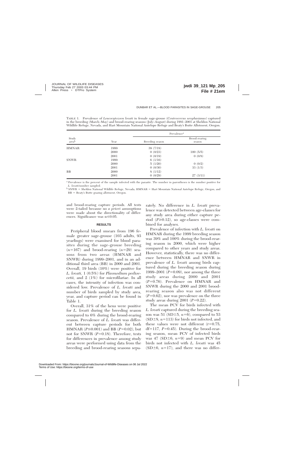| Study<br>areab | Year | Prevalence <sup>a</sup> |                         |  |
|----------------|------|-------------------------|-------------------------|--|
|                |      | Breeding season         | Brood-rearing<br>season |  |
| <b>HMNAR</b>   | 1999 | 39(7/18)                |                         |  |
|                | 2000 | 0(0/23)                 | 100(5/5)                |  |
|                | 2001 | 0(0/19)                 | 0(0/8)                  |  |
| <b>SNWR</b>    | 1999 | 6(1/16)                 |                         |  |
|                | 2000 | 5(1/20)                 | 0(0/2)                  |  |
|                | 2001 | 0(0/30)                 | 33(1/3)                 |  |
| BB             | 2000 | 8(1/12)                 |                         |  |
|                | 2001 | 0(0/29)                 | 27(3/11)                |  |

TABLE 1. Prevalence of *Leucocytozoon lovati* in female sage-grouse (*Centrocercus urophasianus*) captured in the breeding (March–May) and brood-rearing seasons (July–August) during 1991–2001 at Sheldon National Wildlife Refuge, Nevada, and Hart Mountain National Antelope Refuge and Beaty's Butte Allotment, Oregon.

<sup>a</sup> Prevalence is the percent of the sample infected with the parasite. The number in parentheses is the number positive for *L. lovati*/number sampled.

 $b$  SNWR = Sheldon National Wildlife Refuge, Nevada; HMNAR = Hart Mountain National Antelope Refuge, Oregon, and  $BB =$  Beaty's Butte grazing allotment, Oregon.

and brood-rearing capture periods. All tests were 2-tailed because no *a priori* assumptions were made about the directionality of differences. Significance was  $\alpha \leq 0.05$ .

#### **RESULTS**

Peripheral blood smears from 196 female greater sage-grouse (103 adults, 93 yearlings) were examined for blood parasites during the sage-grouse breeding  $(n=167)$  and brood-rearing  $(n=29)$  seasons from two areas (HMNAR and SNWR) during 1999–2001, and in an additional third area (BB) in 2000 and 2001. Overall, 19 birds (10%) were positive for *L. lovati,* 1 (0.5%) for *Plasmodium pedioecetii,* and 2 (1%) for microfilariae. In all cases, the intensity of infection was considered low. Prevalence of *L. lovati* and number of birds sampled by study area, year, and capture period can be found in Table 1.

Overall, 31% of the hens were positive for *L. lovati* during the breeding season compared to 6% during the brood-rearing season. Prevalence of *L. lovati* was different between capture periods for both HMNAR ( $P \le 0.001$ ) and BB ( $P = 0.02$ ), but not for SNWR  $(P=0.18)$ . Therefore, tests for differences in prevalence among study areas were performed using data from the breeding and brood-rearing seasons separately. No difference in *L. lovati* prevalence was detected between age-classes for any study area during either capture period  $(P\geq 0.12)$ , so age-classes were combined for analyses.

Prevalence of infection with *L. lovati* on HMNAR during the 1999 breeding season was 39% and 100% during the brood-rearing season in 2000, which were higher compared to other years and study areas. However, statistically, there was no difference between HMNAR and SNWR in prevalence of *L. lovati* among birds captured during the breeding season during 1999–2001 ( $P=0.09$ ), nor among the three study areas during 2000 and 2001  $(P=0.76)$ . Prevalence on HMNAR and SNWR during the 2000 and 2001 broodrearing season also was not different  $(P=0.62)$ , nor was prevalence on the three study areas during  $2001$  ( $P=0.22$ ).

The mean PCV for birds infected with *L. lovati* captured during the breeding season was 51 (SD $\pm$ 5, *n*=6), compared to 53  $(SD±8, n=113)$  for birds not infected, and these values were not different  $(t=0.75,$ df=117,  $P=0.45$ ). During the brood-rearing season, mean PCV of infected birds was 47 (SD $\pm$ 6, *n*=9) and mean PCV for birds not infected with *L. lovati* was 45  $(SD±6, n=17)$ , and there was no differ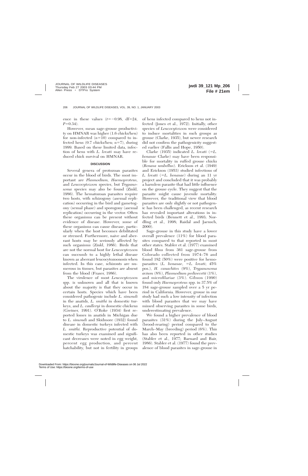ence in these values  $(t=-0.98, df=24,$  $P=0.34$ ).

However, mean sage-grouse productivity on HMNAR was higher (1.6 chicks/hen) for non-infected  $(n=10)$  compared to infected hens  $(0.7 \text{ chicks/hen}; n=7)$ , during 1999. Based on these limited data, infection of hens with *L. lovati* may have reduced chick survival on HMNAR.

# **DISCUSSION**

Several genera of protozoan parasites occur in the blood of birds. The most important are *Plasmodium, Haemoproteus,* and *Leucocytozoon* species, but *Trypanosoma* species may also be found (Zinkl, 1986). The hematozoan parasites require two hosts, with schizogony (asexual replication) occurring in the bird and gametogony (sexual phase) and sporogony (asexual replication) occurring in the vector. Often these organisms can be present without evidence of disease. However, some of these organisms can cause disease, particularly when the host becomes debilitated or stressed. Furthermore, naive and aberrant hosts may be seriously affected by such organisms (Zinkl, 1986). Birds that are not the normal host for *Leucocytozoon* can succumb to a highly lethal disease known as aberrant leucocytozoonosis when infected. In this case, schizonts are numerous in tissues, but parasites are absent from the blood (Fraser, 1986).

The virulence of most *Leucocytozoon* spp. is unknown and all that is known about the majority is that they occur in certain hosts. Species which have been considered pathogenic include *L. simondi* in the anatids, *L. smithi* in domestic turkeys, and *L. caulleryi* in domestic chickens (Greiner, 1991). O'Roke (1934) first reported losses in anatids in Michigan due to *L. simondi* and Skidmore (1932) found disease in domestic turkeys infected with *L. smithi.* Reproductive potential of domestic turkeys was examined and significant decreases were noted in egg weight, percent egg production, and percent hatchability, but not in fertility in groups

of hens infected compared to hens not infected (Jones et al., 1972). Initially, other species of *Leucocytozoon* were considered to induce mortalities in such groups as grouse (Clarke, 1935), but newer research did not confirm the pathogenicity suggested earlier (Fallis and Hope, 1950).

Clarke  $(1935)$  indicated *L. lovati*  $(=L.$ *bonasae* Clarke) may have been responsible for mortality in ruffed grouse chicks (*Bonasa umbellus*). Erickson et al. (1949) and Erickson (1953) studied infections of *L. lovati* (5*L. bonasae*) during an 11 yr project and concluded that it was probably a harmless parasite that had little influence on the grouse cycle. They suggest that the parasite might cause juvenile mortality. However, the traditional view that blood parasites are only slightly or not pathogenic has been challenged, as recent research has revealed important alterations in infected birds (Bennett et al., 1993; Nordling et al., 1998; Raidal and Jaensch, 2000).

Sage-grouse in this study have a lower overall prevalence (11%) for blood parasites compared to that reported in most other states. Stabler et al. (1977) examined blood films from 361 sage-grouse from Colorado collected from 1974–76 and found 182 (50%) were positive for hemoparasites (*L. bonasae*,  $=L$ *. lovati*; 45% pos.), *H. canachites* (9%), *Trypanosoma avium* (8%), *Plasmodium pedioecetii* (1%), and microfilariae (3%). Gibson (1990) found only *Haemoproteus* spp. in 37.5% of 184 sage-grouse sampled over a 5 yr period in California. However, grouse in our study had such a low intensity of infection with blood parasites that we may have missed observing parasites in some birds, underestimating prevalence.

We found a higher prevalence of blood parasites (31%) during the July–August (brood-rearing) period compared to the March–May (breeding) period (6%). This has also been reported in other studies (Stabler et al., 1977; Barnard and Bair, 1986). Stabler et al. (1977) found the prevalence of blood parasites in sage-grouse in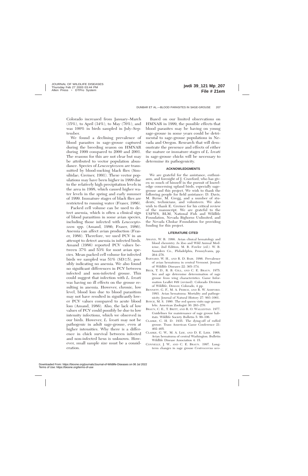Colorado increased from January–March (15%), to April (34%), to May (76%), and was 100% in birds sampled in July–September.

We found a declining prevalence of blood parasites in sage-grouse captured during the breeding season on HMNAR during 1999 compared to 2000 and 2001. The reasons for this are not clear but may be attributed to vector population abundance. Species of *Leucocytozoon* are transmitted by blood-sucking black flies (Simuliidae; Greiner, 1991). These vector populations may have been higher in 1999 due to the relatively high precipitation levels in the area in 1998, which caused higher water levels in the spring and early summer of 1999. Immature stages of black flies are restricted to running water (Fraser, 1986).

Packed cell volume can be used to detect anemia, which is often a clinical sign of blood parasitism in some avian species, including those infected with *Leucocytozoon* spp. (Amand, 1986; Fraser, 1986). Anemia can affect avian production (Fraser, 1986). Therefore, we used PCV in an attempt to detect anemia in infected birds. Amand (1986) reported PCV values between 37% and 53% for most avian species. Mean packed cell volume for infected birds we sampled was  $51\%$  (SD $\pm 5$ ), possibly indicating no anemia. We also found no significant differences in PCV between infected and non-infected grouse. This could suggest that infection with *L. lovati* was having no ill effects on the grouse resulting in anemia. However, chronic, low level, blood loss due to blood parasitism may not have resulted in significantly lower PCV values compared to acute blood loss (Amand, 1986). Also, the lack of low values of PCV could possibly be due to low intensity infections, which we observed in our birds. However, *L. lovati* may not be pathogenic in adult sage-grouse, even at higher intensities. Why there is a difference in chick survival between infected and non-infected hens is unknown. However, small sample size must be a consideration.

Based on our limited observations on HMNAR in 1999, the possible effects that blood parasites may be having on young sage-grouse in some years could be detrimental to sage-grouse populations in Nevada and Oregon. Research that will demonstrate the presence and effects of either the mature or immature stages of *L. lovati* in sage-grouse chicks will be necessary to determine its pathogenicity.

#### **ACKNOWLEDGMENTS**

We are grateful for the assistance, enthusiasm, and foresight of J. Crawford, who has given so much of himself in the pursuit of knowledge concerning upland birds, especially sagegrouse and this project. We wish to thank the following people for field assistance: D. Davis, M. Byrne, M. Gregg, and a number of students, technicians, and volunteers. We also wish to thank E. Greiner for his critical review of the manuscript. We are grateful to the USFWS, BLM, National Fish and Wildlife Foundation, Nevada Bighorns Unlimited, and the Nevada Chukar Foundation for providing funding for this project.

#### **LITERATURE CITED**

- AMAND, W. B. 1986. Avian clinical hematology and blood chemistry. *In* Zoo and Wild Animal Medicine, 2nd Edition, M. B. Fowler (ed.). W. B. Saunders Co., Philadelphia, Pennsylvania, pp. 264–276.
- BARNARD, W. H., AND R. D. BAIR. 1986. Prevalence of avian hematozoa in central Vermont. Journal of Wildlife Diseases 22: 365–374.
- BECK, T. D., R. B. GILL, AND C. E. BRAUN. 1975. Sex and age determine determination of sage grouse from wing characteristics. Game Information Leaflet #49 (revised). Colorado Division of Wildlife, Denver, Colorado, 4 pp.
- BENNETT, G. F., M. A. PEIRCE, AND R. W. ASHFORD. 1993. Avian hematozoa: Mortality and pathogenicity. Journal of Natural History 27: 993–1001.
- BOYCE, M. S. 1990. The red queen visits sage grouse leks. American Zoologist 30: 263–270.
- BRAUN, C. E., T. BRITT, AND R. O. WALLESTAD. 1977. Guidelines for maintenance of sage grouse habitats. Wildlife Society Bulletin 5: 99–106.
- CLARKE, C. H. D. 1935. The dying-off of ruffed grouse. Trans American Game Conference 21: 402–405.
- CLARKE, G. W., M. A. LEE, AND D. E. LIEB. 1968. Avian hematozoa of central Washington. Bulletin Wildlife Disease Association 4: 15.
- CONNELLY, J. W., AND C. E. BRAUN. 1997. Longterm changes in sage grouse *Centrocercus uro-*